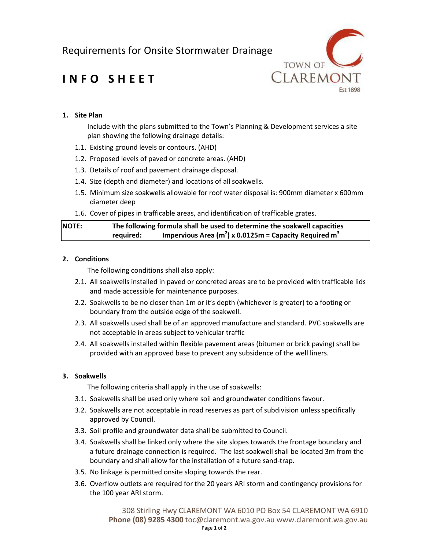Requirements for Onsite Stormwater Drainage



# **INFO SHEET**

### **1. Site Plan**

Include with the plans submitted to the Town's Planning & Development services a site plan showing the following drainage details:

- 1.1. Existing ground levels or contours. (AHD)
- 1.2. Proposed levels of paved or concrete areas. (AHD)
- 1.3. Details of roof and pavement drainage disposal.
- 1.4. Size (depth and diameter) and locations of all soakwells.
- 1.5. Minimum size soakwells allowable for roof water disposal is: 900mm diameter x 600mm diameter deep
- 1.6. Cover of pipes in trafficable areas, and identification of trafficable grates.

| <b>NOTE:</b> | The following formula shall be used to determine the soakwell capacities |                                                                      |
|--------------|--------------------------------------------------------------------------|----------------------------------------------------------------------|
|              | required:                                                                | Impervious Area $(m^2)$ x 0.0125m = Capacity Required m <sup>3</sup> |

#### **2. Conditions**

The following conditions shall also apply:

- 2.1. All soakwells installed in paved or concreted areas are to be provided with trafficable lids and made accessible for maintenance purposes.
- 2.2. Soakwells to be no closer than 1m or it's depth (whichever is greater) to a footing or boundary from the outside edge of the soakwell.
- 2.3. All soakwells used shall be of an approved manufacture and standard. PVC soakwells are not acceptable in areas subject to vehicular traffic
- 2.4. All soakwells installed within flexible pavement areas (bitumen or brick paving) shall be provided with an approved base to prevent any subsidence of the well liners.

#### **3. Soakwells**

The following criteria shall apply in the use of soakwells:

- 3.1. Soakwells shall be used only where soil and groundwater conditions favour.
- 3.2. Soakwells are not acceptable in road reserves as part of subdivision unless specifically approved by Council.
- 3.3. Soil profile and groundwater data shall be submitted to Council.
- 3.4. Soakwells shall be linked only where the site slopes towards the frontage boundary and a future drainage connection is required. The last soakwell shall be located 3m from the boundary and shall allow for the installation of a future sand-trap.
- 3.5. No linkage is permitted onsite sloping towards the rear.
- 3.6. Overflow outlets are required for the 20 years ARI storm and contingency provisions for the 100 year ARI storm.